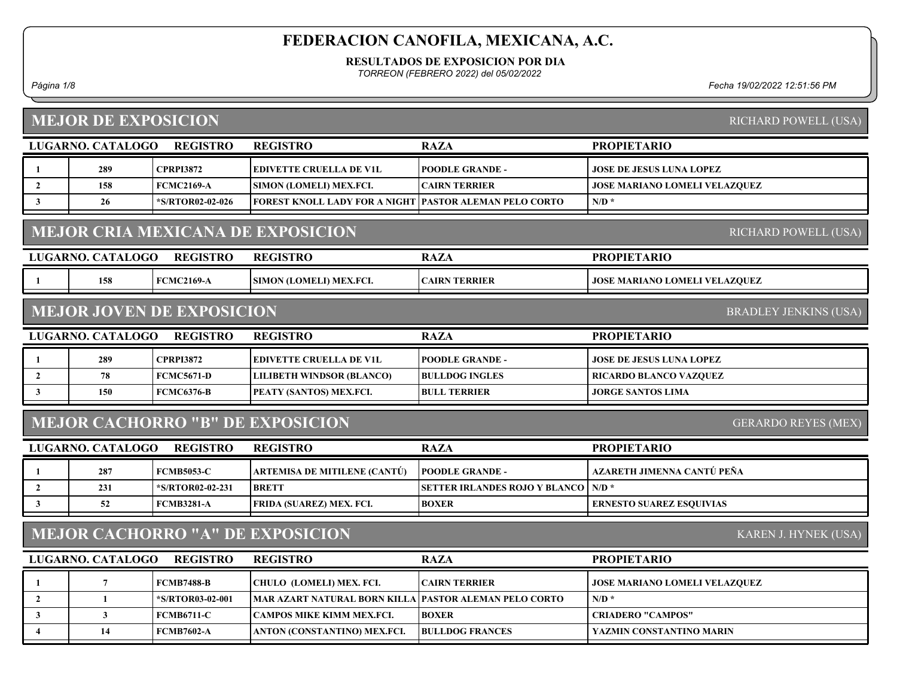#### RESULTADOS DE EXPOSICION POR DIA

TORREON (FEBRERO 2022) del 05/02/2022

## MEJOR DE EXPOSICION

Página 1/8 Fecha 19/02/2022 12:51:56 PM

| <b>MEJOR DE EXPOSICION</b> |                   |                                  |                                                               |                                      |                                      | RICHARD POWELL (USA)         |
|----------------------------|-------------------|----------------------------------|---------------------------------------------------------------|--------------------------------------|--------------------------------------|------------------------------|
|                            | LUGARNO. CATALOGO | <b>REGISTRO</b>                  | <b>REGISTRO</b>                                               | <b>RAZA</b>                          | <b>PROPIETARIO</b>                   |                              |
| $\mathbf{1}$               | 289               | <b>CPRPI3872</b>                 | <b>EDIVETTE CRUELLA DE V1L</b>                                | <b>POODLE GRANDE -</b>               | JOSE DE JESUS LUNA LOPEZ             |                              |
| $\overline{2}$             | 158               | <b>FCMC2169-A</b>                | SIMON (LOMELI) MEX.FCI.                                       | <b>CAIRN TERRIER</b>                 | JOSE MARIANO LOMELI VELAZQUEZ        |                              |
| $\mathbf{3}$               | 26                | *S/RTOR02-02-026                 | <b>FOREST KNOLL LADY FOR A NIGHT PASTOR ALEMAN PELO CORTO</b> |                                      | $N/D$ *                              |                              |
|                            |                   |                                  | <b>MEJOR CRIA MEXICANA DE EXPOSICION</b>                      |                                      |                                      | RICHARD POWELL (USA)         |
|                            | LUGARNO. CATALOGO | <b>REGISTRO</b>                  | <b>REGISTRO</b>                                               | <b>RAZA</b>                          | <b>PROPIETARIO</b>                   |                              |
| -1                         | 158               | <b>FCMC2169-A</b>                | SIMON (LOMELI) MEX.FCI.                                       | <b>CAIRN TERRIER</b>                 | <b>JOSE MARIANO LOMELI VELAZQUEZ</b> |                              |
|                            |                   | <b>MEJOR JOVEN DE EXPOSICION</b> |                                                               |                                      |                                      | <b>BRADLEY JENKINS (USA)</b> |
|                            | LUGARNO. CATALOGO | <b>REGISTRO</b>                  | <b>REGISTRO</b>                                               | <b>RAZA</b>                          | <b>PROPIETARIO</b>                   |                              |
| -1                         | 289               | <b>CPRPI3872</b>                 | <b>EDIVETTE CRUELLA DE V1L</b>                                | <b>POODLE GRANDE -</b>               | <b>JOSE DE JESUS LUNA LOPEZ</b>      |                              |
| $\overline{2}$             | 78                | <b>FCMC5671-D</b>                | <b>LILIBETH WINDSOR (BLANCO)</b>                              | <b>BULLDOG INGLES</b>                | RICARDO BLANCO VAZQUEZ               |                              |
| $\mathbf{3}$               | 150               | <b>FCMC6376-B</b>                | PEATY (SANTOS) MEX.FCI.                                       | <b>BULL TERRIER</b>                  | <b>JORGE SANTOS LIMA</b>             |                              |
|                            |                   |                                  | <b>MEJOR CACHORRO "B" DE EXPOSICION</b>                       |                                      |                                      | <b>GERARDO REYES (MEX)</b>   |
|                            | LUGARNO. CATALOGO | <b>REGISTRO</b>                  | <b>REGISTRO</b>                                               | <b>RAZA</b>                          | <b>PROPIETARIO</b>                   |                              |
| 1                          | 287               | <b>FCMB5053-C</b>                | ARTEMISA DE MITILENE (CANTÚ)                                  | <b>POODLE GRANDE -</b>               | AZARETH JIMENNA CANTÚ PEÑA           |                              |
| $\overline{2}$             | 231               | *S/RTOR02-02-231                 | <b>BRETT</b>                                                  | <b>SETTER IRLANDES ROJO Y BLANCO</b> | $N/D$ *                              |                              |
| $\mathbf{3}$               | 52                | <b>FCMB3281-A</b>                | FRIDA (SUAREZ) MEX. FCI.                                      | <b>BOXER</b>                         | <b>ERNESTO SUAREZ ESQUIVIAS</b>      |                              |
|                            |                   |                                  | <b>MEJOR CACHORRO "A" DE EXPOSICION</b>                       |                                      |                                      | KAREN J. HYNEK (USA)         |
|                            | LUGARNO. CATALOGO | <b>REGISTRO</b>                  | <b>REGISTRO</b>                                               | <b>RAZA</b>                          | <b>PROPIETARIO</b>                   |                              |
| $\mathbf{1}$               | $\overline{7}$    | <b>FCMB7488-B</b>                | CHULO (LOMELI) MEX. FCI.                                      | <b>CAIRN TERRIER</b>                 | <b>JOSE MARIANO LOMELI VELAZQUEZ</b> |                              |
| $\overline{2}$             | $\mathbf{1}$      | *S/RTOR03-02-001                 | <b>MAR AZART NATURAL BORN KILLA</b>                           | PASTOR ALEMAN PELO CORTO             | $N/D$ *                              |                              |
| $\mathbf{3}$               | $\mathbf{3}$      | <b>FCMB6711-C</b>                | CAMPOS MIKE KIMM MEX.FCI.                                     | <b>BOXER</b>                         | <b>CRIADERO "CAMPOS"</b>             |                              |
| $\overline{4}$             | 14                | <b>FCMB7602-A</b>                | ANTON (CONSTANTINO) MEX.FCI.                                  | <b>BULLDOG FRANCES</b>               | YAZMIN CONSTANTINO MARIN             |                              |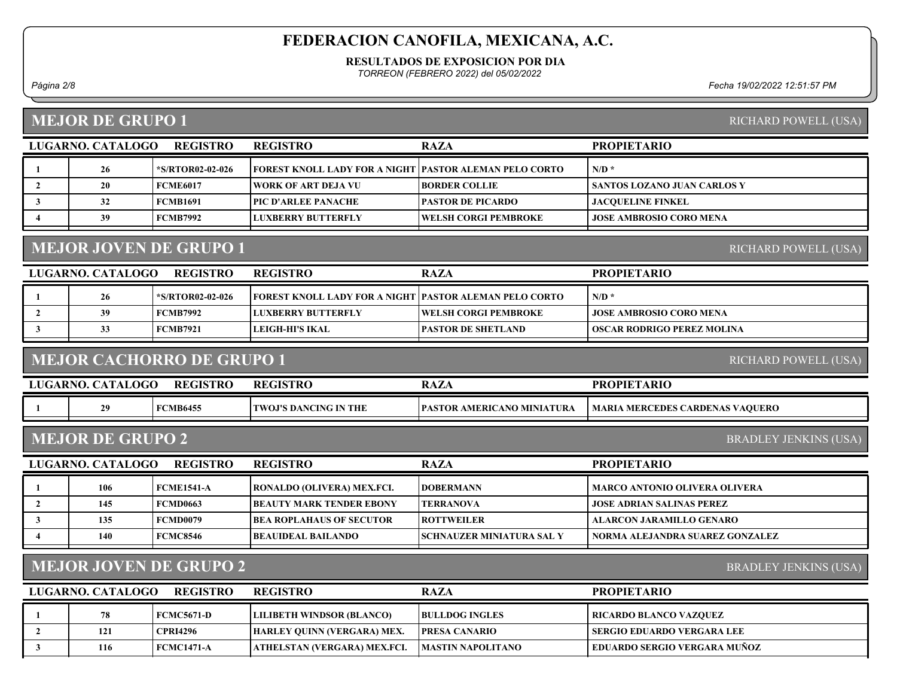#### RESULTADOS DE EXPOSICION POR DIA

TORREON (FEBRERO 2022) del 05/02/2022

### MEJOR DE GRUPO 1

Página 2/8 Fecha 19/02/2022 12:51:57 PM

| LUGARNO. CATALOGO | <b>REGISTRO</b>  | <b>REGISTRO</b>                                         | <b>RAZA</b>                  | <b>PROPIETARIO</b>             |
|-------------------|------------------|---------------------------------------------------------|------------------------------|--------------------------------|
| 26                | *S/RTOR02-02-026 | FOREST KNOLL LADY FOR A NIGHT PASTOR ALEMAN PELO CORTO_ |                              | $N/D$ *                        |
| 20                | <b>FCME6017</b>  | WORK OF ART DEJA VU                                     | <b>BORDER COLLIE</b>         | SANTOS LOZANO JUAN CARLOS Y    |
| 32                | <b>FCMB1691</b>  | [PIC D'ARLEE PANACHE]                                   | <b>PASTOR DE PICARDO</b>     | <b>JACOUELINE FINKEL</b>       |
| 39                | <b>FCMB7992</b>  | I LUXBERRY BUTTERFLY                                    | <b>IWELSH CORGI PEMBROKE</b> | <b>JOSE AMBROSIO CORO MENA</b> |
|                   |                  |                                                         |                              |                                |

## MEJOR JOVEN DE GRUPO 1

| LUGARNO, CATALOGO | REGISTRO         | <b>REGISTRO</b>                                         | <b>RAZA</b>                 | <b>PROPIETARIO</b>             |
|-------------------|------------------|---------------------------------------------------------|-----------------------------|--------------------------------|
| 26                | *S/RTOR02-02-026 | FOREST KNOLL LADY FOR A NIGHT PASTOR ALEMAN PELO CORTO_ |                             | $N/D$ *                        |
| 39                | <b>FCMB7992</b>  | <b>LUXBERRY BUTTERFLY</b>                               | <b>WELSH CORGI PEMBROKE</b> | <b>JOSE AMBROSIO CORO MENA</b> |
| ບບ                | <b>FCMB7921</b>  | LEIGH-HI'S IKAL                                         | <b>IPASTOR DE SHETLAND</b>  | OSCAR RODRIGO PEREZ MOLINA_    |
|                   |                  |                                                         |                             |                                |

### MEJOR CACHORRO DE GRUPO 1

| <b>LUGARNO. C</b> | <b>CATALOGO</b> | <b>REGISTRO</b> | <b>REGISTRO</b>              | <b>RAZA</b>                        | <b>PROPIETARIO</b>              |
|-------------------|-----------------|-----------------|------------------------------|------------------------------------|---------------------------------|
|                   |                 | <b>FCMB6455</b> | <b>TWOJ'S DANCING IN THE</b> | <b>IPASTOR AMERICANO MINIATURA</b> | MARIA MERCEDES CARDENAS VAQUERO |

### MEJOR DE GRUPO 2

BRADLEY JENKINS (USA)

| <b>REGISTRO</b><br>LUGARNO. CATALOGO |     |            | <b>REGISTRO</b>                  | <b>RAZA</b>                       | <b>PROPIETARIO</b>                   |
|--------------------------------------|-----|------------|----------------------------------|-----------------------------------|--------------------------------------|
|                                      | 106 | FCME1541-A | RONALDO (OLIVERA) MEX.FCI.       | <b>IDOBERMANN</b>                 | <b>MARCO ANTONIO OLIVERA OLIVERA</b> |
|                                      | 145 | FCMD0663   | <b>IBEAUTY MARK TENDER EBONY</b> | <b>TERRANOVA</b>                  | <b>JOSE ADRIAN SALINAS PEREZ</b>     |
|                                      | 135 | FCMD0079   | <b> BEA ROPLAHAUS OF SECUTOR</b> | <b>ROTTWEILER</b>                 | ALARCON JARAMILLO GENARO             |
|                                      | 140 | FCMC8546   | BEAUIDEAL BAILANDO_              | <b>ISCHNAUZER MINIATURA SAL Y</b> | NORMA ALEJANDRA SUAREZ GONZALEZ      |

### MEJOR JOVEN DE GRUPO 2

BRADLEY JENKINS (USA)

| LUGARNO. CATALOGO- | REGISTRO          | <b>REGISTRO</b>                    | <b>RAZA</b>           | <b>PROPIETARIO</b>                  |
|--------------------|-------------------|------------------------------------|-----------------------|-------------------------------------|
| 78                 | FCMC5671-D        | <b>LILIBETH WINDSOR (BLANCO)</b>   | <b>BULLDOG INGLES</b> | <b>RICARDO BLANCO VAZQUEZ</b>       |
| 121                | <b>CPRI4296</b>   | <b>HARLEY OUINN (VERGARA) MEX.</b> | <b>IPRESA CANARIO</b> | SERGIO EDUARDO VERGARA LEE          |
| 116                | <b>FCMC1471-A</b> | ATHELSTAN (VERGARA) MEX.FCI.       | IMASTIN NAPOLITANO    | <b>EDUARDO SERGIO VERGARA MUÑOZ</b> |

#### RICHARD POWELL (USA)

RICHARD POWELL (USA)

RICHARD POWELL (USA)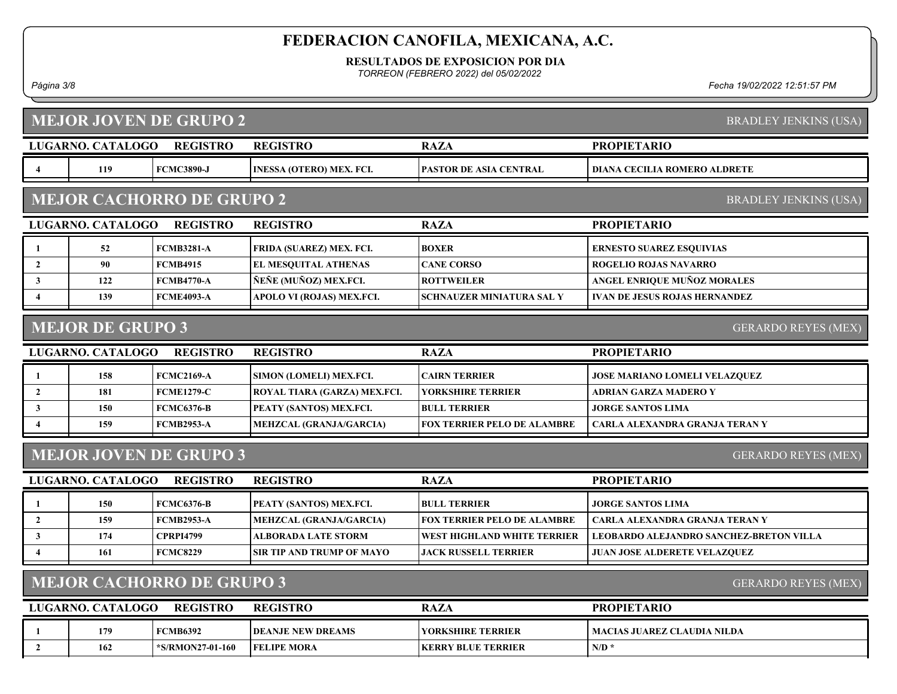#### RESULTADOS DE EXPOSICION POR DIA

TORREON (FEBRERO 2022) del 05/02/2022

#### Página 3/8 Fecha 19/02/2022 12:51:57 PM

| <b>MEJOR JOVEN DE GRUPO 2</b>                                  |                         |                                  |                                 |                                    |                                                |
|----------------------------------------------------------------|-------------------------|----------------------------------|---------------------------------|------------------------------------|------------------------------------------------|
|                                                                |                         |                                  |                                 |                                    | <b>BRADLEY JENKINS (USA)</b>                   |
|                                                                | LUGARNO. CATALOGO       | <b>REGISTRO</b>                  | <b>REGISTRO</b>                 | <b>RAZA</b>                        | <b>PROPIETARIO</b>                             |
| $\overline{4}$                                                 | 119                     | <b>FCMC3890-J</b>                | <b>INESSA (OTERO) MEX. FCI.</b> | <b>PASTOR DE ASIA CENTRAL</b>      | <b>DIANA CECILIA ROMERO ALDRETE</b>            |
|                                                                |                         | <b>MEJOR CACHORRO DE GRUPO 2</b> | <b>BRADLEY JENKINS (USA)</b>    |                                    |                                                |
|                                                                | LUGARNO. CATALOGO       | <b>REGISTRO</b>                  | <b>REGISTRO</b>                 | <b>RAZA</b>                        | <b>PROPIETARIO</b>                             |
| 1                                                              | 52                      | <b>FCMB3281-A</b>                | FRIDA (SUAREZ) MEX. FCI.        | <b>BOXER</b>                       | <b>ERNESTO SUAREZ ESQUIVIAS</b>                |
| $\overline{2}$                                                 | 90                      | <b>FCMB4915</b>                  | EL MESQUITAL ATHENAS            | <b>CANE CORSO</b>                  | <b>ROGELIO ROJAS NAVARRO</b>                   |
| $\mathbf{3}$                                                   | 122                     | <b>FCMB4770-A</b>                | ÑEÑE (MUÑOZ) MEX.FCI.           | <b>ROTTWEILER</b>                  | ANGEL ENRIQUE MUÑOZ MORALES                    |
| $\overline{4}$                                                 | 139                     | <b>FCME4093-A</b>                | APOLO VI (ROJAS) MEX.FCI.       | <b>SCHNAUZER MINIATURA SAL Y</b>   | <b>IVAN DE JESUS ROJAS HERNANDEZ</b>           |
|                                                                | <b>MEJOR DE GRUPO 3</b> |                                  |                                 |                                    | <b>GERARDO REYES (MEX)</b>                     |
|                                                                | LUGARNO. CATALOGO       | <b>REGISTRO</b>                  | <b>REGISTRO</b>                 | <b>RAZA</b>                        | <b>PROPIETARIO</b>                             |
| 1                                                              | 158                     | <b>FCMC2169-A</b>                | SIMON (LOMELI) MEX.FCI.         | <b>CAIRN TERRIER</b>               | <b>JOSE MARIANO LOMELI VELAZQUEZ</b>           |
| $\overline{2}$                                                 | 181                     | <b>FCME1279-C</b>                | ROYAL TIARA (GARZA) MEX.FCI.    | YORKSHIRE TERRIER                  | <b>ADRIAN GARZA MADERO Y</b>                   |
| $\mathbf{3}$                                                   | 150                     | <b>FCMC6376-B</b>                | PEATY (SANTOS) MEX.FCI.         | <b>BULL TERRIER</b>                | <b>JORGE SANTOS LIMA</b>                       |
| $\overline{\mathbf{4}}$                                        | 159                     | <b>FCMB2953-A</b>                | <b>MEHZCAL (GRANJA/GARCIA)</b>  | <b>FOX TERRIER PELO DE ALAMBRE</b> | <b>CARLA ALEXANDRA GRANJA TERAN Y</b>          |
|                                                                |                         |                                  |                                 |                                    |                                                |
|                                                                |                         | <b>MEJOR JOVEN DE GRUPO 3</b>    |                                 |                                    | <b>GERARDO REYES (MEX)</b>                     |
|                                                                | LUGARNO. CATALOGO       | <b>REGISTRO</b>                  | <b>REGISTRO</b>                 | <b>RAZA</b>                        | <b>PROPIETARIO</b>                             |
| 1                                                              | 150                     | <b>FCMC6376-B</b>                | PEATY (SANTOS) MEX.FCI.         | <b>BULL TERRIER</b>                | <b>JORGE SANTOS LIMA</b>                       |
| $\overline{2}$                                                 | 159                     | <b>FCMB2953-A</b>                | <b>MEHZCAL (GRANJA/GARCIA)</b>  | <b>FOX TERRIER PELO DE ALAMBRE</b> | CARLA ALEXANDRA GRANJA TERAN Y                 |
| 3                                                              | 174                     | <b>CPRPI4799</b>                 | <b>ALBORADA LATE STORM</b>      | WEST HIGHLAND WHITE TERRIER        | <b>LEOBARDO ALEJANDRO SANCHEZ-BRETON VILLA</b> |
| $\overline{4}$                                                 | 161                     | <b>FCMC8229</b>                  | SIR TIP AND TRUMP OF MAYO       | <b>JACK RUSSELL TERRIER</b>        | <b>JUAN JOSE ALDERETE VELAZQUEZ</b>            |
| <b>MEJOR CACHORRO DE GRUPO 3</b><br><b>GERARDO REYES (MEX)</b> |                         |                                  |                                 |                                    |                                                |
|                                                                | LUGARNO. CATALOGO       | <b>REGISTRO</b>                  | <b>REGISTRO</b>                 | <b>RAZA</b>                        | <b>PROPIETARIO</b>                             |
| 1                                                              | 179                     | <b>FCMB6392</b>                  | <b>DEANJE NEW DREAMS</b>        | <b>YORKSHIRE TERRIER</b>           | <b>MACIAS JUAREZ CLAUDIA NILDA</b>             |
| $\overline{2}$                                                 | 162                     | *S/RMON27-01-160                 | <b>FELIPE MORA</b>              | <b>KERRY BLUE TERRIER</b>          | $N/D$ *                                        |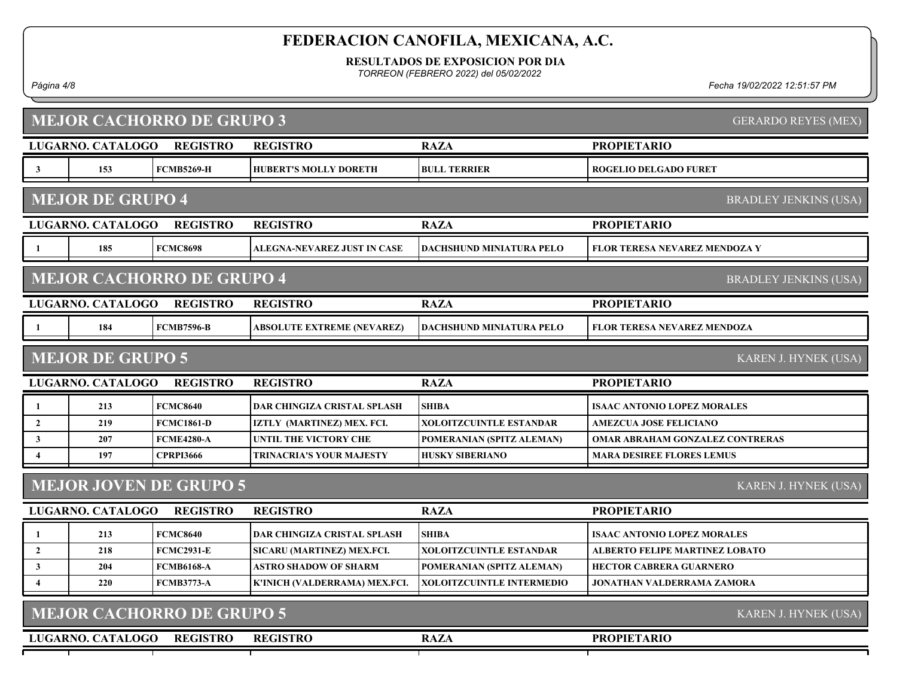RESULTADOS DE EXPOSICION POR DIA

TORREON (FEBRERO 2022) del 05/02/2022

Página 4/8 Fecha 19/02/2022 12:51:57 PM

|                         | <b>MEJOR CACHORRO DE GRUPO 3</b><br><b>GERARDO REYES (MEX)</b> |                                  |                                    |                                  |                                        |  |
|-------------------------|----------------------------------------------------------------|----------------------------------|------------------------------------|----------------------------------|----------------------------------------|--|
|                         | LUGARNO. CATALOGO                                              | <b>REGISTRO</b>                  | <b>REGISTRO</b>                    | <b>RAZA</b>                      | <b>PROPIETARIO</b>                     |  |
| $\mathbf{3}$            | 153                                                            | <b>FCMB5269-H</b>                | <b>HUBERT'S MOLLY DORETH</b>       | <b>BULL TERRIER</b>              | <b>ROGELIO DELGADO FURET</b>           |  |
|                         | <b>MEJOR DE GRUPO 4</b>                                        |                                  |                                    |                                  | <b>BRADLEY JENKINS (USA)</b>           |  |
|                         | LUGARNO. CATALOGO                                              | <b>REGISTRO</b>                  | <b>REGISTRO</b>                    | <b>RAZA</b>                      | <b>PROPIETARIO</b>                     |  |
| 1                       | 185                                                            | <b>FCMC8698</b>                  | ALEGNA-NEVAREZ JUST IN CASE        | <b>DACHSHUND MINIATURA PELO</b>  | FLOR TERESA NEVAREZ MENDOZA Y          |  |
|                         |                                                                | <b>MEJOR CACHORRO DE GRUPO 4</b> |                                    |                                  | <b>BRADLEY JENKINS (USA)</b>           |  |
|                         | LUGARNO. CATALOGO                                              | <b>REGISTRO</b>                  | <b>REGISTRO</b>                    | <b>RAZA</b>                      | <b>PROPIETARIO</b>                     |  |
| 1                       | 184                                                            | <b>FCMB7596-B</b>                | ABSOLUTE EXTREME (NEVAREZ)         | DACHSHUND MINIATURA PELO         | <b>FLOR TERESA NEVAREZ MENDOZA</b>     |  |
|                         | <b>MEJOR DE GRUPO 5</b>                                        |                                  |                                    |                                  | KAREN J. HYNEK (USA)                   |  |
|                         | LUGARNO. CATALOGO                                              | <b>REGISTRO</b>                  | <b>REGISTRO</b>                    | <b>RAZA</b>                      | <b>PROPIETARIO</b>                     |  |
|                         | 213                                                            | <b>FCMC8640</b>                  | <b>DAR CHINGIZA CRISTAL SPLASH</b> | <b>SHIBA</b>                     | <b>ISAAC ANTONIO LOPEZ MORALES</b>     |  |
| $\overline{2}$          | 219                                                            | <b>FCMC1861-D</b>                | IZTLY (MARTINEZ) MEX. FCI.         | <b>XOLOITZCUINTLE ESTANDAR</b>   | <b>AMEZCUA JOSE FELICIANO</b>          |  |
| $\mathbf{3}$            | 207                                                            | <b>FCME4280-A</b>                | UNTIL THE VICTORY CHE              | POMERANIAN (SPITZ ALEMAN)        | <b>OMAR ABRAHAM GONZALEZ CONTRERAS</b> |  |
| $\overline{\mathbf{4}}$ | 197                                                            | <b>CPRPI3666</b>                 | <b>TRINACRIA'S YOUR MAJESTY</b>    | <b>HUSKY SIBERIANO</b>           | <b>MARA DESIREE FLORES LEMUS</b>       |  |
|                         |                                                                | <b>MEJOR JOVEN DE GRUPO 5</b>    |                                    |                                  | KAREN J. HYNEK (USA)                   |  |
|                         | LUGARNO. CATALOGO                                              | <b>REGISTRO</b>                  | <b>REGISTRO</b>                    | <b>RAZA</b>                      | <b>PROPIETARIO</b>                     |  |
| 1                       | 213                                                            | <b>FCMC8640</b>                  | <b>DAR CHINGIZA CRISTAL SPLASH</b> | <b>SHIBA</b>                     | <b>ISAAC ANTONIO LOPEZ MORALES</b>     |  |
| $\overline{2}$          | 218                                                            | <b>FCMC2931-E</b>                | SICARU (MARTINEZ) MEX.FCI.         | <b>XOLOITZCUINTLE ESTANDAR</b>   | <b>ALBERTO FELIPE MARTINEZ LOBATO</b>  |  |
| $\mathbf{3}$            | 204                                                            | <b>FCMB6168-A</b>                | <b>ASTRO SHADOW OF SHARM</b>       | POMERANIAN (SPITZ ALEMAN)        | <b>HECTOR CABRERA GUARNERO</b>         |  |
| $\boldsymbol{4}$        | 220                                                            | <b>FCMB3773-A</b>                | K'INICH (VALDERRAMA) MEX.FCI.      | <b>XOLOITZCUINTLE INTERMEDIO</b> | <b>JONATHAN VALDERRAMA ZAMORA</b>      |  |
|                         |                                                                | <b>MEJOR CACHORRO DE GRUPO 5</b> | KAREN J. HYNEK (USA)               |                                  |                                        |  |
|                         | LUGARNO. CATALOGO                                              | <b>REGISTRO</b>                  | <b>REGISTRO</b>                    | <b>RAZA</b>                      | <b>PROPIETARIO</b>                     |  |
|                         |                                                                |                                  |                                    |                                  |                                        |  |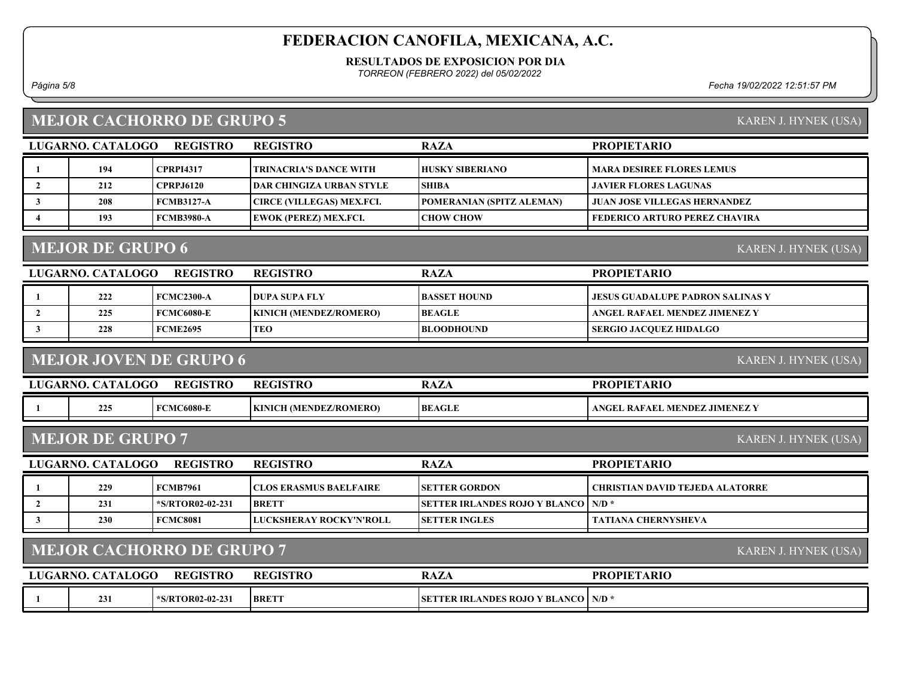#### RESULTADOS DE EXPOSICION POR DIA

TORREON (FEBRERO 2022) del 05/02/2022

1 194 CPRPI4317 TRINACRIA'S DANCE WITH HUSKY SIBERIANO MARA DESIREE FLORES LEMUS 2 212 CPRPJ6120 DAR CHINGIZA URBAN STYLE SHIBA JAVIER FLORES LAGUNAS

3 | 208 | FCMB3127-A CIRCE (VILLEGAS) MEX.FCI. | POMERANIAN (SPITZ ALEMAN) | JUAN JOSE VILLEGAS HERNANDEZ

Página 5/8 Fecha 19/02/2022 12:51:57 PM

PROPIETARIO

### MEJOR CACHORRO DE GRUPO 5

LUGARNO. CATALOGO REGISTRO RAZA

REGISTRO

|                       | 193 | <b>FCM</b><br>MB3980-A | X.FCI.<br>$[$ DET $]$<br>™ERE…<br><b>VII</b> | $\alpha$ HC<br><b>CHOW</b><br>$\gamma$ w . | ' CHAVIRA<br><b>\RTURC</b><br>) PERF<br>.RIC |
|-----------------------|-----|------------------------|----------------------------------------------|--------------------------------------------|----------------------------------------------|
|                       |     |                        |                                              |                                            |                                              |
| VIF<br>$\blacksquare$ |     |                        |                                              |                                            |                                              |

### MEJOR DE GRUPO 6

| <b>REGISTRO</b><br>LUGARNO, CATALOGO |     |                   | <b>REGISTRO</b>               | <b>RAZA</b>          | <b>PROPIETARIO</b>                |
|--------------------------------------|-----|-------------------|-------------------------------|----------------------|-----------------------------------|
|                                      | 222 | FCMC2300-A        | <b>IDUPA SUPA FLY</b>         | <b>IBASSET HOUND</b> | LIESUS GUADALUPE PADRON SALINAS Y |
|                                      | 225 | <b>FCMC6080-E</b> | <b>KINICH (MENDEZ/ROMERO)</b> | <b>BEAGLE</b>        | ANGEL RAFAEL MENDEZ JIMENEZ Y     |
|                                      | 228 | FCME2695          | <b>TEO</b>                    | <b>BLOODHOUND</b>    | SERGIO JACOUEZ HIDALGO            |
|                                      |     |                   |                               |                      |                                   |

### MEJOR JOVEN DE GRUPO 6

KAREN J. HYNEK (USA)

| $\cup$ GARNC | .ogo<br>$\overline{\phantom{a}}$ | <b>ISTRC</b>    | $\omega$ cictd $\boldsymbol{c}$<br>RF<br>. T I C | $\sqrt{7}$<br>RA <i>LA</i> | ARIO<br>PRO<br>$\boldsymbol{\ldots}$ PIF $\boldsymbol{\tau}$ |
|--------------|----------------------------------|-----------------|--------------------------------------------------|----------------------------|--------------------------------------------------------------|
|              | 225<br>ن کاظ                     | `6080-1<br>'MC6 | <b>NDEZ/ROMERO)</b><br><b>KINICH (ME)</b>        | <b>BEAGLE</b>              | . JIMENEZ V<br>NDI<br>MEI<br>, KAFALL<br>ANGE                |

#### MEJOR DE GRUPO 7

KAREN J. HYNEK (USA)

KAREN J. HYNEK (USA)

| LUGARNO. CATALOGO | REGISTRO                | <b>REGISTRO</b>                | <b>RAZA</b>                                  | <b>PROPIETARIO</b>                     |
|-------------------|-------------------------|--------------------------------|----------------------------------------------|----------------------------------------|
| 229               | <b>FCMB7961</b>         | <b>ICLOS ERASMUS BAELFAIRE</b> | <b>ISETTER GORDON</b>                        | <b>CHRISTIAN DAVID TEJEDA ALATORRE</b> |
| 231               | <b>*S/RTOR02-02-231</b> | <b>BRETT</b>                   | <b>SETTER IRLANDES ROJO Y BLANCO   N/D *</b> |                                        |
| 230               | FCMC8081                | LUCKSHERAY ROCKY'N'ROLL        | <b>ISETTER INGLES</b>                        | <b>TATIANA CHERNYSHEVA</b>             |
|                   |                         |                                |                                              |                                        |

### MEJOR CACHORRO DE GRUPO 7

| LUGARNO. CATALOGO | <b>REGISTRO</b>  | <b>REGISTRO</b> | <b>RAZA</b>                                  | <b>PROPIETARIO</b> |
|-------------------|------------------|-----------------|----------------------------------------------|--------------------|
| 231               | *S/RTOR02-02-231 | <b>BRETT</b>    | <b>SETTER IRLANDES ROJO Y BLANCO   N/D *</b> |                    |

KAREN J. HYNEK (USA)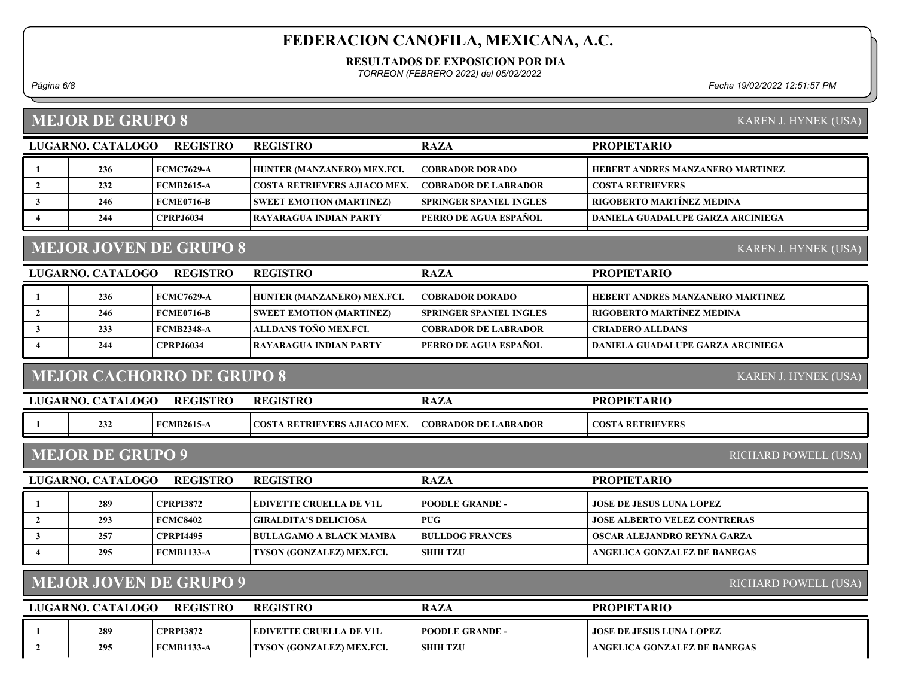#### RESULTADOS DE EXPOSICION POR DIA

TORREON (FEBRERO 2022) del 05/02/2022

1 236 FCMC7629-A HUNTER (MANZANERO) MEX.FCI. COBRADOR DORADO HEBERT ANDRES MANZANERO MARTINEZ

4 | 244 | CPRPJ6034 RAYARAGUA INDIAN PARTY | PERRO DE AGUA ESPAÑOL | DANIELA GUADALUPE GARZA ARCINIEGA

3 | 246 | FCME0716-B SWEET EMOTION (MARTINEZ) | SPRINGER SPANIEL INGLES | RIGOBERTO MARTÍNEZ MEDINA

2 | 232 | FCMB2615-A | COSTA RETRIEVERS AJIACO MEX. | COBRADOR DE LABRADOR | COSTA RETRIEVERS

Página 6/8 Fecha 19/02/2022 12:51:57 PM

PROPIETARIO

### MEJOR DE GRUPO 8

|  | KAREN J. HYNEK (USA) |  |
|--|----------------------|--|

KAREN J. HYNEK (USA)

### MEJOR JOVEN DE GRUPO 8

LUGARNO. CATALOGO REGISTRO RAZA

REGISTRO

| <b>REGISTRO</b><br>LUGARNO. CATALOGO |     |                   | <b>REGISTRO</b>                 | <b>RAZA</b>                     | <b>PROPIETARIO</b>                      |
|--------------------------------------|-----|-------------------|---------------------------------|---------------------------------|-----------------------------------------|
|                                      | 236 | FCMC7629-A        | HUNTER (MANZANERO) MEX.FCI.     | <b>COBRADOR DORADO</b>          | <b>HEBERT ANDRES MANZANERO MARTINEZ</b> |
|                                      | 246 | FCME0716-B        | <b>SWEET EMOTION (MARTINEZ)</b> | <b>ISPRINGER SPANIEL INGLES</b> | <b>RIGOBERTO MARTÍNEZ MEDINA</b>        |
|                                      | 233 | <b>FCMB2348-A</b> | ALLDANS TOÑO MEX.FCL            | <b>COBRADOR DE LABRADOR</b>     | <b>CRIADERO ALLDANS</b>                 |
|                                      | 244 | <b>CPRPJ6034</b>  | <b>TRAYARAGUA INDIAN PARTY</b>  | <b>PERRO DE AGUA ESPAÑOL</b>    | DANIELA GUADALUPE GARZA ARCINIEGA       |

### MEJOR CACHORRO DE GRUPO 8

KAREN J. HYNEK (USA)

| LUGARNO. | . CATALOGO | <b>REGISTRO</b>   | <b>REGISTRO</b>                     | <b>RAZA</b>                 | <b>PROPIETARIO</b>      |
|----------|------------|-------------------|-------------------------------------|-----------------------------|-------------------------|
|          | 232        | <b>FCMB2615-A</b> | <b>COSTA RETRIEVERS AJIACO MEX.</b> | <b>COBRADOR DE LABRADOR</b> | <b>COSTA RETRIEVERS</b> |
|          |            |                   |                                     |                             |                         |

#### MEJOR DE GRUPO 9

RICHARD POWELL (USA)

### MEJOR JOVEN DE GRUPO 9

RICHARD POWELL (USA)

| LUGARNO. CATALOGO | <b>REGISTRO</b>   | <b>REGISTRO</b>                  | <b>RAZA</b>             | <b>PROPIETARIO</b>           |
|-------------------|-------------------|----------------------------------|-------------------------|------------------------------|
| 289               | <b>CPRPI3872</b>  | EDIVETTE CRUELLA DE V1L          | <b>TPOODLE GRANDE -</b> | JOSE DE JESUS LUNA LOPEZ     |
| 295               | <b>FCMB1133-A</b> | <b>TYSON (GONZALEZ) MEX.FCI.</b> | <b>SHIH TZU</b>         | ANGELICA GONZALEZ DE BANEGAS |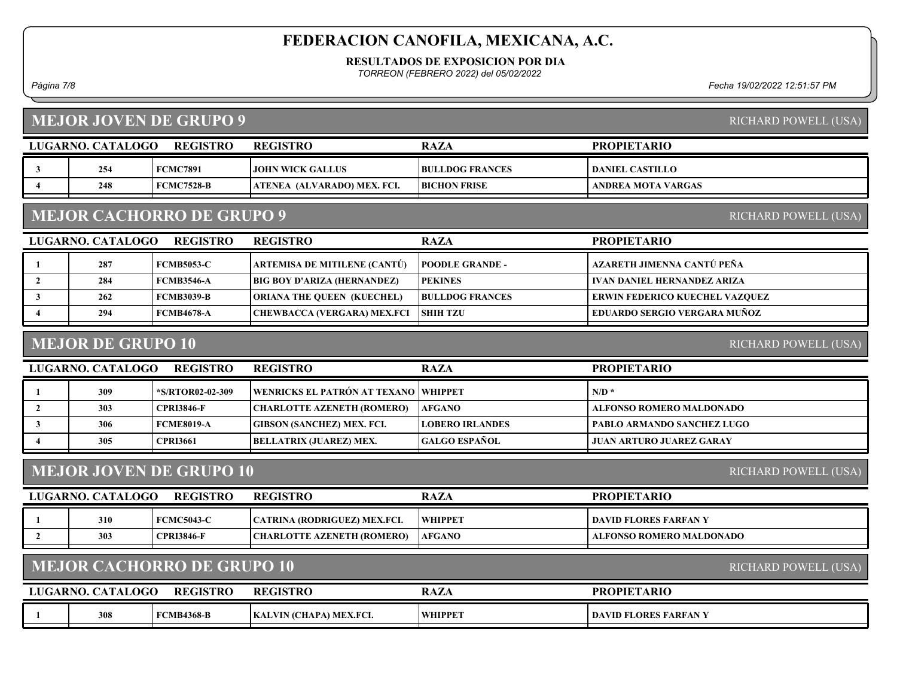#### RESULTADOS DE EXPOSICION POR DIA

TORREON (FEBRERO 2022) del 05/02/2022

Página 7/8 Fecha 19/02/2022 12:51:57 PM

| <b>MEJOR JOVEN DE GRUPO 9</b><br>RICHARD POWELL (USA) |                                                          |                                   |                                    |                        |                                       |  |  |  |
|-------------------------------------------------------|----------------------------------------------------------|-----------------------------------|------------------------------------|------------------------|---------------------------------------|--|--|--|
|                                                       | LUGARNO. CATALOGO                                        | <b>REGISTRO</b>                   | <b>REGISTRO</b>                    | <b>RAZA</b>            | <b>PROPIETARIO</b>                    |  |  |  |
| 3                                                     | 254                                                      | <b>FCMC7891</b>                   | <b>JOHN WICK GALLUS</b>            | <b>BULLDOG FRANCES</b> | <b>DANIEL CASTILLO</b>                |  |  |  |
| $\boldsymbol{4}$                                      | 248                                                      | <b>FCMC7528-B</b>                 | ATENEA (ALVARADO) MEX. FCI.        | <b>BICHON FRISE</b>    | <b>ANDREA MOTA VARGAS</b>             |  |  |  |
|                                                       | <b>MEJOR CACHORRO DE GRUPO 9</b><br>RICHARD POWELL (USA) |                                   |                                    |                        |                                       |  |  |  |
|                                                       | LUGARNO. CATALOGO                                        | <b>REGISTRO</b>                   | <b>REGISTRO</b>                    | <b>RAZA</b>            | <b>PROPIETARIO</b>                    |  |  |  |
| -1                                                    | 287                                                      | <b>FCMB5053-C</b>                 | ARTEMISA DE MITILENE (CANTÚ)       | <b>POODLE GRANDE -</b> | AZARETH JIMENNA CANTÚ PEÑA            |  |  |  |
| $\mathbf{2}$                                          | 284                                                      | <b>FCMB3546-A</b>                 | <b>BIG BOY D'ARIZA (HERNANDEZ)</b> | <b>PEKINES</b>         | <b>IVAN DANIEL HERNANDEZ ARIZA</b>    |  |  |  |
| 3                                                     | 262                                                      | <b>FCMB3039-B</b>                 | <b>ORIANA THE QUEEN (KUECHEL)</b>  | <b>BULLDOG FRANCES</b> | <b>ERWIN FEDERICO KUECHEL VAZQUEZ</b> |  |  |  |
| 4                                                     | 294                                                      | <b>FCMB4678-A</b>                 | <b>CHEWBACCA (VERGARA) MEX.FCI</b> | <b>SHIH TZU</b>        | <b>EDUARDO SERGIO VERGARA MUÑOZ</b>   |  |  |  |
|                                                       | <b>MEJOR DE GRUPO 10</b><br>RICHARD POWELL (USA)         |                                   |                                    |                        |                                       |  |  |  |
|                                                       | LUGARNO. CATALOGO                                        | <b>REGISTRO</b>                   | <b>REGISTRO</b>                    | <b>RAZA</b>            | <b>PROPIETARIO</b>                    |  |  |  |
|                                                       |                                                          |                                   |                                    |                        |                                       |  |  |  |
|                                                       | 309                                                      | *S/RTOR02-02-309                  | WENRICKS EL PATRÓN AT TEXANO       | <b>WHIPPET</b>         | $N/D$ *                               |  |  |  |
| $\mathbf{2}$                                          | 303                                                      | <b>CPRI3846-F</b>                 | <b>CHARLOTTE AZENETH (ROMERO)</b>  | <b>AFGANO</b>          | <b>ALFONSO ROMERO MALDONADO</b>       |  |  |  |
| 3                                                     | 306                                                      | <b>FCME8019-A</b>                 | <b>GIBSON (SANCHEZ) MEX. FCI.</b>  | <b>LOBERO IRLANDES</b> | PABLO ARMANDO SANCHEZ LUGO            |  |  |  |
| $\boldsymbol{4}$                                      | 305                                                      | <b>CPRI3661</b>                   | <b>BELLATRIX (JUAREZ) MEX.</b>     | <b>GALGO ESPAÑOL</b>   | <b>JUAN ARTURO JUAREZ GARAY</b>       |  |  |  |
|                                                       |                                                          | <b>MEJOR JOVEN DE GRUPO 10</b>    |                                    |                        | RICHARD POWELL (USA)                  |  |  |  |
|                                                       | <b>LUGARNO. CATALOGO</b>                                 | <b>REGISTRO</b>                   | <b>REGISTRO</b>                    | <b>RAZA</b>            | <b>PROPIETARIO</b>                    |  |  |  |
| -1                                                    | 310                                                      | <b>FCMC5043-C</b>                 | CATRINA (RODRIGUEZ) MEX.FCI.       | <b>WHIPPET</b>         | <b>DAVID FLORES FARFAN Y</b>          |  |  |  |
| $\overline{2}$                                        | 303                                                      | <b>CPRI3846-F</b>                 | <b>CHARLOTTE AZENETH (ROMERO)</b>  | <b>AFGANO</b>          | <b>ALFONSO ROMERO MALDONADO</b>       |  |  |  |
|                                                       |                                                          | <b>MEJOR CACHORRO DE GRUPO 10</b> |                                    |                        | RICHARD POWELL (USA)                  |  |  |  |
|                                                       | LUGARNO. CATALOGO                                        | <b>REGISTRO</b>                   | <b>REGISTRO</b>                    | <b>RAZA</b>            | <b>PROPIETARIO</b>                    |  |  |  |